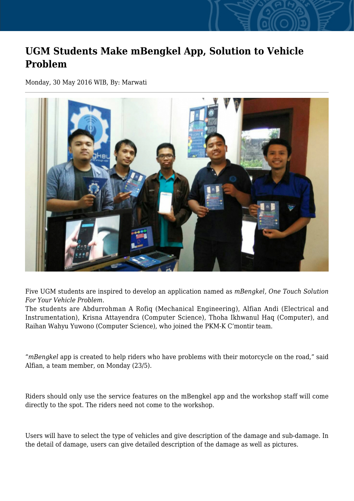## **UGM Students Make mBengkel App, Solution to Vehicle Problem**

Monday, 30 May 2016 WIB, By: Marwati



Five UGM students are inspired to develop an application named as *mBengkel, One Touch Solution For Your Vehicle Problem*.

The students are Abdurrohman A Rofiq (Mechanical Engineering), Alfian Andi (Electrical and Instrumentation), Krisna Attayendra (Computer Science), Thoha Ikhwanul Haq (Computer), and Raihan Wahyu Yuwono (Computer Science), who joined the PKM-K C'montir team.

"*mBengkel* app is created to help riders who have problems with their motorcycle on the road," said Alfian, a team member, on Monday (23/5).

Riders should only use the service features on the mBengkel app and the workshop staff will come directly to the spot. The riders need not come to the workshop.

Users will have to select the type of vehicles and give description of the damage and sub-damage. In the detail of damage, users can give detailed description of the damage as well as pictures.